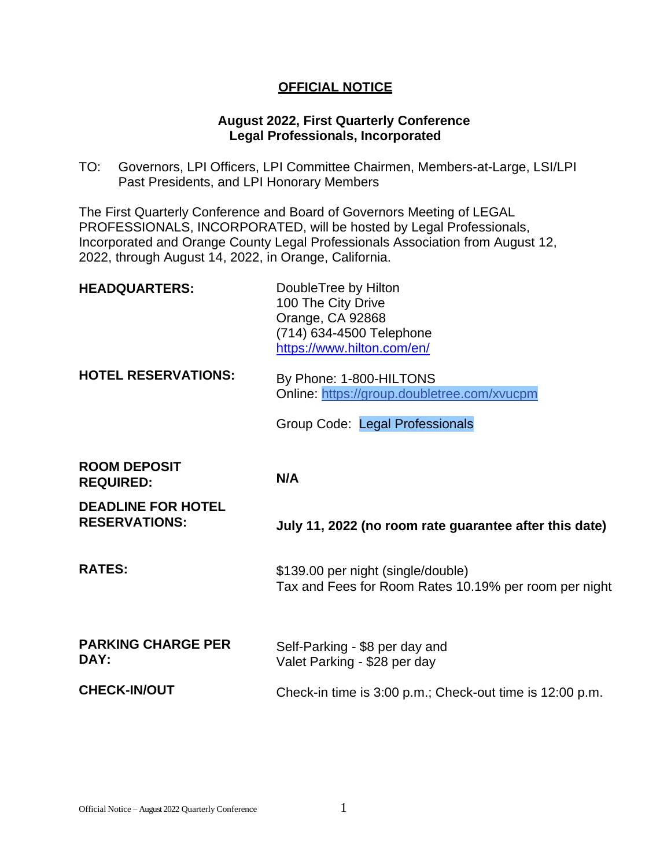### **OFFICIAL NOTICE**

#### **August 2022, First Quarterly Conference Legal Professionals, Incorporated**

TO: Governors, LPI Officers, LPI Committee Chairmen, Members-at-Large, LSI/LPI Past Presidents, and LPI Honorary Members

The First Quarterly Conference and Board of Governors Meeting of LEGAL PROFESSIONALS, INCORPORATED, will be hosted by Legal Professionals, Incorporated and Orange County Legal Professionals Association from August 12, 2022, through August 14, 2022, in Orange, California.

| <b>HEADQUARTERS:</b>                    | DoubleTree by Hilton<br>100 The City Drive<br>Orange, CA 92868<br>(714) 634-4500 Telephone<br>https://www.hilton.com/en/ |
|-----------------------------------------|--------------------------------------------------------------------------------------------------------------------------|
| <b>HOTEL RESERVATIONS:</b>              | By Phone: 1-800-HILTONS<br>Online: https://group.doubletree.com/xvucpm                                                   |
|                                         | Group Code: Legal Professionals                                                                                          |
| <b>ROOM DEPOSIT</b><br><b>REQUIRED:</b> | N/A                                                                                                                      |
| <b>DEADLINE FOR HOTEL</b>               |                                                                                                                          |
| <b>RESERVATIONS:</b>                    | July 11, 2022 (no room rate guarantee after this date)                                                                   |
| <b>RATES:</b>                           | \$139.00 per night (single/double)<br>Tax and Fees for Room Rates 10.19% per room per night                              |
| <b>PARKING CHARGE PER</b><br>DAY:       | Self-Parking - \$8 per day and<br>Valet Parking - \$28 per day                                                           |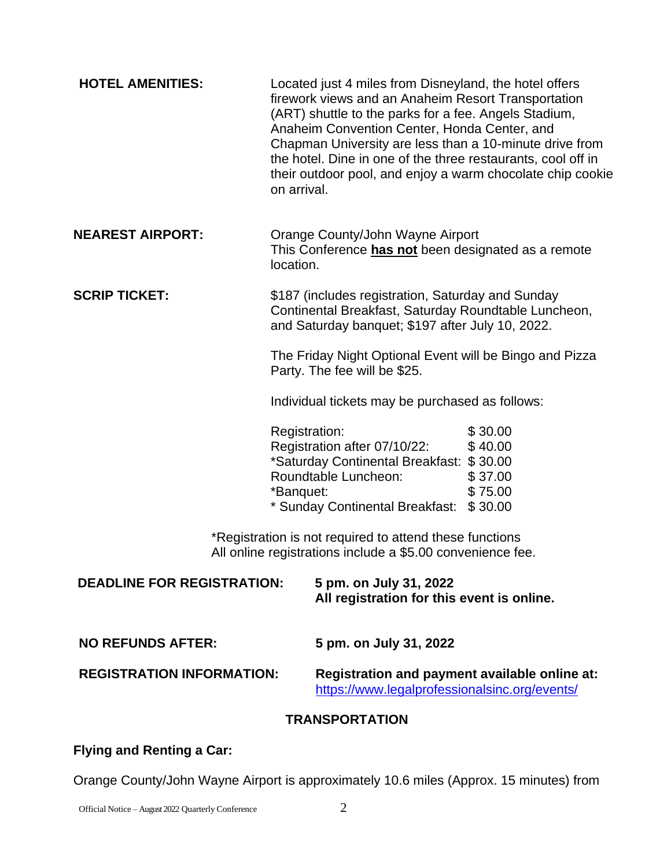| <b>HOTEL AMENITIES:</b>                                                                                               | Located just 4 miles from Disneyland, the hotel offers<br>firework views and an Anaheim Resort Transportation<br>(ART) shuttle to the parks for a fee. Angels Stadium,<br>Anaheim Convention Center, Honda Center, and<br>Chapman University are less than a 10-minute drive from<br>the hotel. Dine in one of the three restaurants, cool off in<br>their outdoor pool, and enjoy a warm chocolate chip cookie<br>on arrival. |  |  |
|-----------------------------------------------------------------------------------------------------------------------|--------------------------------------------------------------------------------------------------------------------------------------------------------------------------------------------------------------------------------------------------------------------------------------------------------------------------------------------------------------------------------------------------------------------------------|--|--|
| <b>NEAREST AIRPORT:</b>                                                                                               | Orange County/John Wayne Airport<br>This Conference has not been designated as a remote<br>location.                                                                                                                                                                                                                                                                                                                           |  |  |
| <b>SCRIP TICKET:</b>                                                                                                  | \$187 (includes registration, Saturday and Sunday<br>Continental Breakfast, Saturday Roundtable Luncheon,<br>and Saturday banquet; \$197 after July 10, 2022.                                                                                                                                                                                                                                                                  |  |  |
|                                                                                                                       | The Friday Night Optional Event will be Bingo and Pizza<br>Party. The fee will be \$25.                                                                                                                                                                                                                                                                                                                                        |  |  |
|                                                                                                                       | Individual tickets may be purchased as follows:                                                                                                                                                                                                                                                                                                                                                                                |  |  |
|                                                                                                                       | \$30.00<br>Registration:<br>Registration after 07/10/22:<br>\$40.00<br>*Saturday Continental Breakfast: \$30.00<br>Roundtable Luncheon:<br>\$37.00<br>*Banquet:<br>\$75.00<br>* Sunday Continental Breakfast: \$30.00                                                                                                                                                                                                          |  |  |
| *Registration is not required to attend these functions<br>All online registrations include a \$5.00 convenience fee. |                                                                                                                                                                                                                                                                                                                                                                                                                                |  |  |
| <b>DEADLINE FOR REGISTRATION:</b>                                                                                     | 5 pm. on July 31, 2022<br>All registration for this event is online.                                                                                                                                                                                                                                                                                                                                                           |  |  |
| <b>NO REFUNDS AFTER:</b>                                                                                              | 5 pm. on July 31, 2022                                                                                                                                                                                                                                                                                                                                                                                                         |  |  |
| <b>REGISTRATION INFORMATION:</b>                                                                                      | Registration and payment available online at:<br>https://www.legalprofessionalsinc.org/events/                                                                                                                                                                                                                                                                                                                                 |  |  |
| <b>TRANSPORTATION</b>                                                                                                 |                                                                                                                                                                                                                                                                                                                                                                                                                                |  |  |

# **Flying and Renting a Car:**

Orange County/John Wayne Airport is approximately 10.6 miles (Approx. 15 minutes) from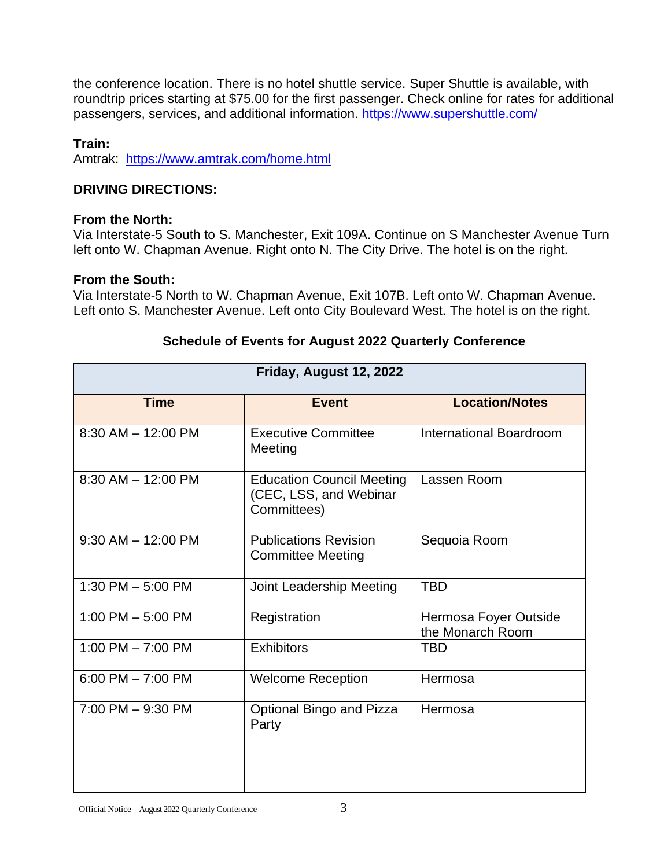the conference location. There is no hotel shuttle service. Super Shuttle is available, with roundtrip prices starting at \$75.00 for the first passenger. Check online for rates for additional passengers, services, and additional information. <https://www.supershuttle.com/>

#### **Train:**

Amtrak: <https://www.amtrak.com/home.html>

# **DRIVING DIRECTIONS:**

#### **From the North:**

Via Interstate-5 South to S. Manchester, Exit 109A. Continue on S Manchester Avenue Turn left onto W. Chapman Avenue. Right onto N. The City Drive. The hotel is on the right.

# **From the South:**

Via Interstate-5 North to W. Chapman Avenue, Exit 107B. Left onto W. Chapman Avenue. Left onto S. Manchester Avenue. Left onto City Boulevard West. The hotel is on the right.

| Friday, August 12, 2022 |                                                                           |                                           |  |
|-------------------------|---------------------------------------------------------------------------|-------------------------------------------|--|
| <b>Time</b>             | <b>Event</b>                                                              | <b>Location/Notes</b>                     |  |
| $8:30$ AM $- 12:00$ PM  | <b>Executive Committee</b><br>Meeting                                     | <b>International Boardroom</b>            |  |
| $8:30$ AM $- 12:00$ PM  | <b>Education Council Meeting</b><br>(CEC, LSS, and Webinar<br>Committees) | Lassen Room                               |  |
| $9:30$ AM $-12:00$ PM   | <b>Publications Revision</b><br><b>Committee Meeting</b>                  | Sequoia Room                              |  |
| 1:30 PM $-$ 5:00 PM     | Joint Leadership Meeting                                                  | <b>TBD</b>                                |  |
| 1:00 PM $-$ 5:00 PM     | Registration                                                              | Hermosa Foyer Outside<br>the Monarch Room |  |
| 1:00 PM $-$ 7:00 PM     | <b>Exhibitors</b>                                                         | <b>TBD</b>                                |  |
| $6:00$ PM $- 7:00$ PM   | <b>Welcome Reception</b>                                                  | Hermosa                                   |  |
| $7:00$ PM $-9:30$ PM    | Optional Bingo and Pizza<br>Party                                         | Hermosa                                   |  |

# **Schedule of Events for August 2022 Quarterly Conference**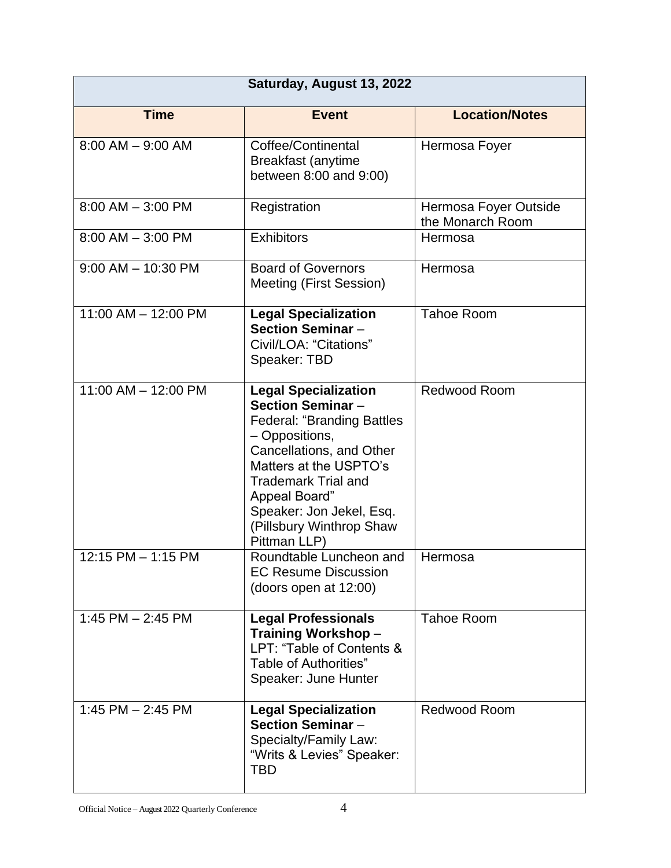| Saturday, August 13, 2022 |                                                                                                                                                                                                                                                                                             |                                           |  |
|---------------------------|---------------------------------------------------------------------------------------------------------------------------------------------------------------------------------------------------------------------------------------------------------------------------------------------|-------------------------------------------|--|
| <b>Time</b>               | <b>Event</b>                                                                                                                                                                                                                                                                                | <b>Location/Notes</b>                     |  |
| $8:00$ AM $-$ 9:00 AM     | Coffee/Continental<br><b>Breakfast (anytime</b><br>between 8:00 and 9:00)                                                                                                                                                                                                                   | Hermosa Foyer                             |  |
| $8:00$ AM $-$ 3:00 PM     | Registration                                                                                                                                                                                                                                                                                | Hermosa Foyer Outside<br>the Monarch Room |  |
| $8:00$ AM $-$ 3:00 PM     | <b>Exhibitors</b>                                                                                                                                                                                                                                                                           | Hermosa                                   |  |
| $9:00$ AM $-$ 10:30 PM    | <b>Board of Governors</b><br><b>Meeting (First Session)</b>                                                                                                                                                                                                                                 | Hermosa                                   |  |
| 11:00 AM - 12:00 PM       | <b>Legal Specialization</b><br><b>Section Seminar -</b><br>Civil/LOA: "Citations"<br>Speaker: TBD                                                                                                                                                                                           | <b>Tahoe Room</b>                         |  |
| 11:00 AM - 12:00 PM       | <b>Legal Specialization</b><br><b>Section Seminar -</b><br><b>Federal: "Branding Battles</b><br>- Oppositions,<br>Cancellations, and Other<br>Matters at the USPTO's<br><b>Trademark Trial and</b><br>Appeal Board"<br>Speaker: Jon Jekel, Esq.<br>(Pillsbury Winthrop Shaw<br>Pittman LLP) | Redwood Room                              |  |
| 12:15 PM - 1:15 PM        | Roundtable Luncheon and<br><b>EC Resume Discussion</b><br>(doors open at 12:00)                                                                                                                                                                                                             | Hermosa                                   |  |
| 1:45 PM $-$ 2:45 PM       | <b>Legal Professionals</b><br>Training Workshop-<br>LPT: "Table of Contents &<br>Table of Authorities"<br>Speaker: June Hunter                                                                                                                                                              | <b>Tahoe Room</b>                         |  |
| 1:45 PM - 2:45 PM         | <b>Legal Specialization</b><br><b>Section Seminar -</b><br>Specialty/Family Law:<br>"Writs & Levies" Speaker:<br>TBD                                                                                                                                                                        | <b>Redwood Room</b>                       |  |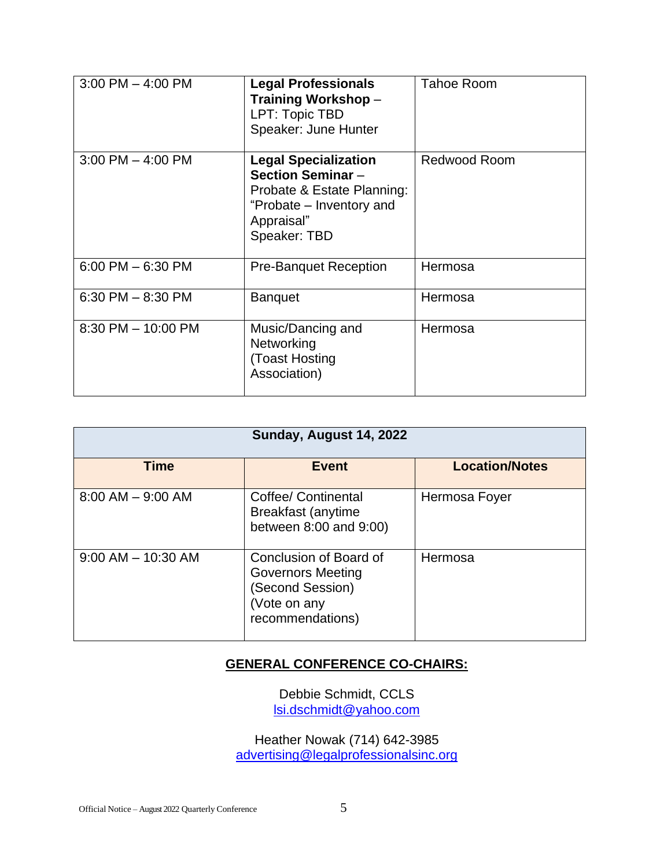| $3:00$ PM $-$ 4:00 PM  | <b>Legal Professionals</b><br>Training Workshop-<br>LPT: Topic TBD<br>Speaker: June Hunter                                                      | <b>Tahoe Room</b> |
|------------------------|-------------------------------------------------------------------------------------------------------------------------------------------------|-------------------|
| $3:00$ PM $-$ 4:00 PM  | <b>Legal Specialization</b><br><b>Section Seminar -</b><br>Probate & Estate Planning:<br>"Probate – Inventory and<br>Appraisal"<br>Speaker: TBD | Redwood Room      |
| $6:00$ PM $-6:30$ PM   | <b>Pre-Banquet Reception</b>                                                                                                                    | Hermosa           |
| $6:30$ PM $- 8:30$ PM  | <b>Banquet</b>                                                                                                                                  | Hermosa           |
| $8:30$ PM $- 10:00$ PM | Music/Dancing and<br>Networking<br>(Toast Hosting<br>Association)                                                                               | Hermosa           |

| Sunday, August 14, 2022 |                                                                                                            |                       |  |
|-------------------------|------------------------------------------------------------------------------------------------------------|-----------------------|--|
| <b>Time</b>             | <b>Event</b>                                                                                               | <b>Location/Notes</b> |  |
| $8:00$ AM $-$ 9:00 AM   | Coffee/ Continental<br><b>Breakfast (anytime</b><br>between 8:00 and 9:00)                                 | Hermosa Foyer         |  |
| $9:00$ AM $-$ 10:30 AM  | Conclusion of Board of<br><b>Governors Meeting</b><br>(Second Session)<br>(Vote on any<br>recommendations) | Hermosa               |  |

# **GENERAL CONFERENCE CO-CHAIRS:**

Debbie Schmidt, CCLS lsi.dschmidt@yahoo.com

Heather Nowak (714) 642-3985 [advertising@legalprofessionalsinc.org](mailto:advertising@legalprofessionalsinc.org)